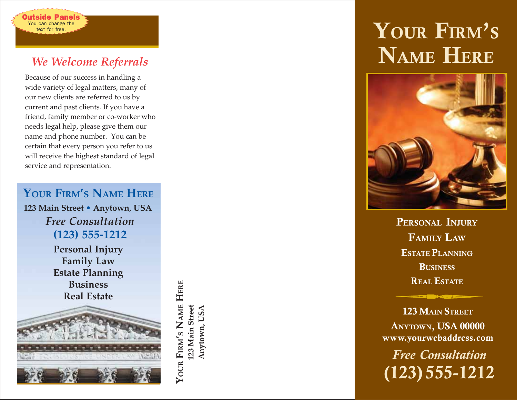# *We Welcome Referrals*

You can change the text for free. utside Panels

Because of our success in handling a wide variety of legal matters, many of our new clients are referred to us by current and past clients. If you have a friend, family member or co-worker who needs legal help, please give them our name and phone number. You can be certain that every person you refer to us will receive the highest standard of legal service and representation.

**YOUR FIRM ' S NAME HERE** *Free Consultation* **(123) 555-1212 123 Main Street • Anytown, USA Personal Injury Family Law Estate Planning Business Real Estate**

YOUR FIRM'S NAME HERE **YOUR FIRM'S NAME HERE** 123 Main Street **123 Main Street** Anytown, USA **Anytown, USA**

# **YOUR FIRM ' S NAME HERE**



**PERSONAL INJURY FAMILY LAW ESTATE PLANNING BUSINESS REAL ESTATE**

**123 MAIN STREET ANYTOWN, USA 00000 www.yourwebaddress.com**

*Free Consultation* **(123) 555-1212**